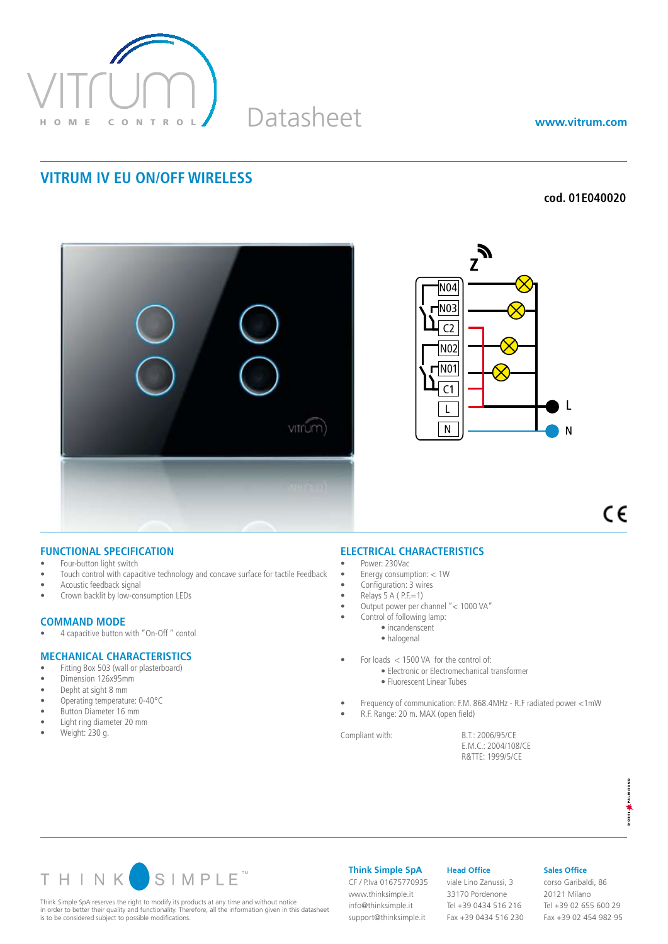

Datasheet

**www.vitrum.com**

## **VITRUM IV EU ON/OFF WIRELESS**

## **cod. 01E040020**





 $\epsilon$ 

#### **FUNCTIONAL SPECIFICATION**

- Four-button light switch
- Touch control with capacitive technology and concave surface for tactile Feedback
- Acoustic feedback signal
- Crown backlit by low-consumption LEDs

## **COMMAND MODE**<br>• 4 capacitive button

4 capacitive button with "On-Off" contol

#### **MECHANICAL CHARACTERISTICS**

- Fitting Box 503 (wall or plasterboard)<br>• Dimension 126×95mm
- Dimension 126x95mm
- Depht at sight 8 mm
- Operating temperature: 0-40°C
- • Button Diameter 16 mm
- • Light ring diameter 20 mm
- $\bullet$  Weight: 230 g.

## **ELECTRICAL CHARACTERISTICS**

- Power: 230Vac
- • Energy consumption: < 1W
- Configuration: 3 wires
- $Relays 5 A ( P.E=1)$
- • Output power per channel "< 1000 VA"
- Control of following lamp:
	- incandenscent
	- halogenal
- For loads < 1500 VA for the control of:
	- Electronic or Electromechanical transformer
		- Fluorescent Linear Tubes
- Frequency of communication: F.M. 868.4MHz R.F radiated power <1mW
- R.F. Range: 20 m. MAX (open field)

Compliant with: B.T.: 2006/95/CE

 E.M.C.: 2004/108/CE R&TTE: 1999/5/CE



Think Simple SpA reserves the right to modify its products at any time and without notice in order to better their quality and functionality. Therefore, all the information given in this datasheet is to be considered subject to possible modifications.

**Think Simple SpA**

CF / P.Iva 01675770935 www.thinksimple.it info@thinksimple.it support@thinksimple.it

#### **Head Office**

viale Lino Zanussi, 3 33170 Pordenone Tel +39 0434 516 216 Fax +39 0434 516 230

#### **Sales Office**

corso Garibaldi, 86 20121 Milano Tel +39 02 655 600 29 Fax +39 02 454 982 95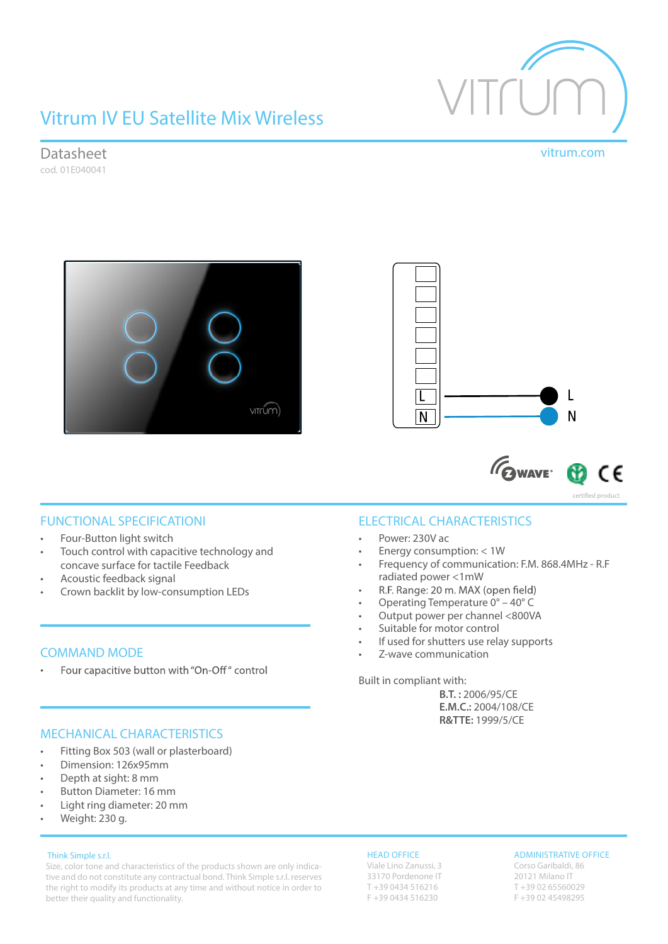

# Vitrum IV EU Satellite Mix Wireless

Datasheet vitrum.com

cod. 01E040041





**GWAVE** C٤

certified product

FUNCTIONAL SPECIFICATIONI

- Four-Button light switch
- Touch control with capacitive technology and concave surface for tactile Feedback
- Acoustic feedback signal
- Crown backlit by low-consumption LEDs

## COMMAND MODE

Four capacitive button with "On-Off" control •

## MECHANICAL CHARACTERISTICS

- Fitting Box 503 (wall or plasterboard)
- Dimension: 126x95mm
- Depth at sight: 8 mm
- Button Diameter: 16 mm
- Light ring diameter: 20 mm
- Weight: 230 g.

#### Think Simple s.r.l.

Size, color tone and characteristics of the products shown are only indicative and do not constitute any contractual bond. Think Simple s.r.l. reserves the right to modify its products at any time and without notice in order to better their quality and functionality.

## ELECTRICAL CHARACTERISTICS

- Power: 230V ac
- Energy consumption: < 1W
- Frequency of communication: F.M. 868.4MHz R.F radiated power <1mW
- R.F. Range: 20 m. MAX (open field) •
- Operating Temperature 0° 40° C
- Output power per channel <800VA
- Suitable for motor control
- If used for shutters use relay supports
- Z-wave communication

Built in compliant with:

**B.T. :** 2006/95/CE **E.M.C.:** 2004/108/CE **R&TTE:** 1999/5/CE

#### HEAD OFFICE

Viale Lino Zanussi, 3 33170 Pordenone IT T +39 0434 516216 F +39 0434 516230

#### ADMINISTRATIVE OFFICE

Corso Garibaldi, 86 20121 Milano IT T +39 02 65560029 F +39 02 45498295